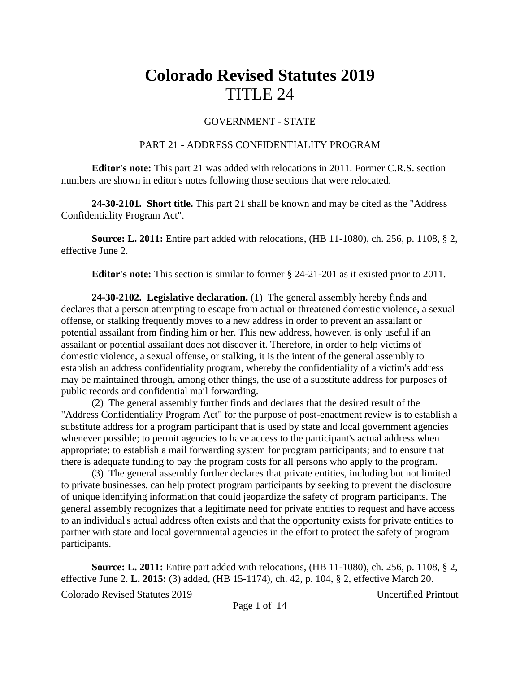## **Colorado Revised Statutes 2019** TITLE 24

## GOVERNMENT - STATE

## PART 21 - ADDRESS CONFIDENTIALITY PROGRAM

**Editor's note:** This part 21 was added with relocations in 2011. Former C.R.S. section numbers are shown in editor's notes following those sections that were relocated.

**24-30-2101. Short title.** This part 21 shall be known and may be cited as the "Address Confidentiality Program Act".

**Source: L. 2011:** Entire part added with relocations, (HB 11-1080), ch. 256, p. 1108, § 2, effective June 2.

**Editor's note:** This section is similar to former § 24-21-201 as it existed prior to 2011.

**24-30-2102. Legislative declaration.** (1) The general assembly hereby finds and declares that a person attempting to escape from actual or threatened domestic violence, a sexual offense, or stalking frequently moves to a new address in order to prevent an assailant or potential assailant from finding him or her. This new address, however, is only useful if an assailant or potential assailant does not discover it. Therefore, in order to help victims of domestic violence, a sexual offense, or stalking, it is the intent of the general assembly to establish an address confidentiality program, whereby the confidentiality of a victim's address may be maintained through, among other things, the use of a substitute address for purposes of public records and confidential mail forwarding.

(2) The general assembly further finds and declares that the desired result of the "Address Confidentiality Program Act" for the purpose of post-enactment review is to establish a substitute address for a program participant that is used by state and local government agencies whenever possible; to permit agencies to have access to the participant's actual address when appropriate; to establish a mail forwarding system for program participants; and to ensure that there is adequate funding to pay the program costs for all persons who apply to the program.

(3) The general assembly further declares that private entities, including but not limited to private businesses, can help protect program participants by seeking to prevent the disclosure of unique identifying information that could jeopardize the safety of program participants. The general assembly recognizes that a legitimate need for private entities to request and have access to an individual's actual address often exists and that the opportunity exists for private entities to partner with state and local governmental agencies in the effort to protect the safety of program participants.

Colorado Revised Statutes 2019 Uncertified Printout **Source: L. 2011:** Entire part added with relocations, (HB 11-1080), ch. 256, p. 1108, § 2, effective June 2. **L. 2015:** (3) added, (HB 15-1174), ch. 42, p. 104, § 2, effective March 20.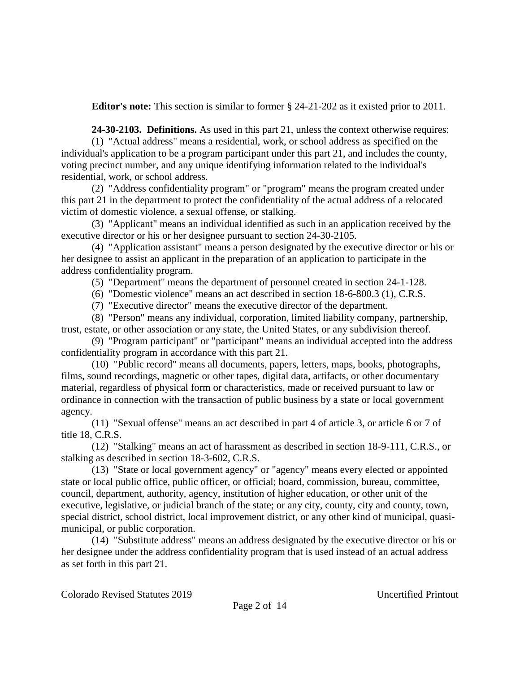**Editor's note:** This section is similar to former § 24-21-202 as it existed prior to 2011.

**24-30-2103. Definitions.** As used in this part 21, unless the context otherwise requires:

(1) "Actual address" means a residential, work, or school address as specified on the individual's application to be a program participant under this part 21, and includes the county, voting precinct number, and any unique identifying information related to the individual's residential, work, or school address.

(2) "Address confidentiality program" or "program" means the program created under this part 21 in the department to protect the confidentiality of the actual address of a relocated victim of domestic violence, a sexual offense, or stalking.

(3) "Applicant" means an individual identified as such in an application received by the executive director or his or her designee pursuant to section 24-30-2105.

(4) "Application assistant" means a person designated by the executive director or his or her designee to assist an applicant in the preparation of an application to participate in the address confidentiality program.

(5) "Department" means the department of personnel created in section 24-1-128.

(6) "Domestic violence" means an act described in section 18-6-800.3 (1), C.R.S.

(7) "Executive director" means the executive director of the department.

(8) "Person" means any individual, corporation, limited liability company, partnership, trust, estate, or other association or any state, the United States, or any subdivision thereof.

(9) "Program participant" or "participant" means an individual accepted into the address confidentiality program in accordance with this part 21.

(10) "Public record" means all documents, papers, letters, maps, books, photographs, films, sound recordings, magnetic or other tapes, digital data, artifacts, or other documentary material, regardless of physical form or characteristics, made or received pursuant to law or ordinance in connection with the transaction of public business by a state or local government agency.

(11) "Sexual offense" means an act described in part 4 of article 3, or article 6 or 7 of title 18, C.R.S.

(12) "Stalking" means an act of harassment as described in section 18-9-111, C.R.S., or stalking as described in section 18-3-602, C.R.S.

(13) "State or local government agency" or "agency" means every elected or appointed state or local public office, public officer, or official; board, commission, bureau, committee, council, department, authority, agency, institution of higher education, or other unit of the executive, legislative, or judicial branch of the state; or any city, county, city and county, town, special district, school district, local improvement district, or any other kind of municipal, quasimunicipal, or public corporation.

(14) "Substitute address" means an address designated by the executive director or his or her designee under the address confidentiality program that is used instead of an actual address as set forth in this part 21.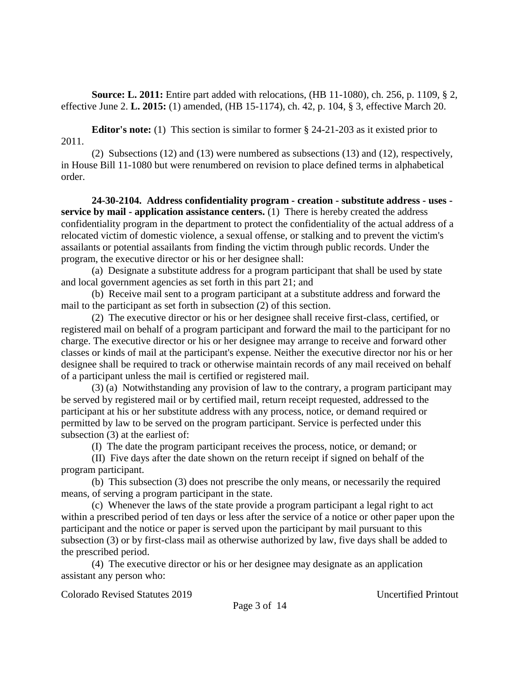**Source: L. 2011:** Entire part added with relocations, (HB 11-1080), ch. 256, p. 1109, § 2, effective June 2. **L. 2015:** (1) amended, (HB 15-1174), ch. 42, p. 104, § 3, effective March 20.

**Editor's note:** (1) This section is similar to former § 24-21-203 as it existed prior to 2011.

(2) Subsections (12) and (13) were numbered as subsections (13) and (12), respectively, in House Bill 11-1080 but were renumbered on revision to place defined terms in alphabetical order.

**24-30-2104. Address confidentiality program - creation - substitute address - uses service by mail - application assistance centers.** (1) There is hereby created the address confidentiality program in the department to protect the confidentiality of the actual address of a relocated victim of domestic violence, a sexual offense, or stalking and to prevent the victim's assailants or potential assailants from finding the victim through public records. Under the program, the executive director or his or her designee shall:

(a) Designate a substitute address for a program participant that shall be used by state and local government agencies as set forth in this part 21; and

(b) Receive mail sent to a program participant at a substitute address and forward the mail to the participant as set forth in subsection (2) of this section.

(2) The executive director or his or her designee shall receive first-class, certified, or registered mail on behalf of a program participant and forward the mail to the participant for no charge. The executive director or his or her designee may arrange to receive and forward other classes or kinds of mail at the participant's expense. Neither the executive director nor his or her designee shall be required to track or otherwise maintain records of any mail received on behalf of a participant unless the mail is certified or registered mail.

(3) (a) Notwithstanding any provision of law to the contrary, a program participant may be served by registered mail or by certified mail, return receipt requested, addressed to the participant at his or her substitute address with any process, notice, or demand required or permitted by law to be served on the program participant. Service is perfected under this subsection (3) at the earliest of:

(I) The date the program participant receives the process, notice, or demand; or

(II) Five days after the date shown on the return receipt if signed on behalf of the program participant.

(b) This subsection (3) does not prescribe the only means, or necessarily the required means, of serving a program participant in the state.

(c) Whenever the laws of the state provide a program participant a legal right to act within a prescribed period of ten days or less after the service of a notice or other paper upon the participant and the notice or paper is served upon the participant by mail pursuant to this subsection (3) or by first-class mail as otherwise authorized by law, five days shall be added to the prescribed period.

(4) The executive director or his or her designee may designate as an application assistant any person who: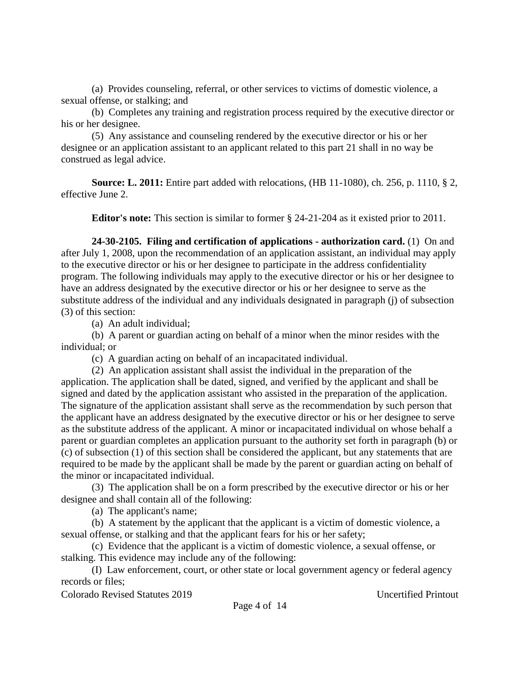(a) Provides counseling, referral, or other services to victims of domestic violence, a sexual offense, or stalking; and

(b) Completes any training and registration process required by the executive director or his or her designee.

(5) Any assistance and counseling rendered by the executive director or his or her designee or an application assistant to an applicant related to this part 21 shall in no way be construed as legal advice.

**Source: L. 2011:** Entire part added with relocations, (HB 11-1080), ch. 256, p. 1110, § 2, effective June 2.

**Editor's note:** This section is similar to former § 24-21-204 as it existed prior to 2011.

**24-30-2105. Filing and certification of applications - authorization card.** (1) On and after July 1, 2008, upon the recommendation of an application assistant, an individual may apply to the executive director or his or her designee to participate in the address confidentiality program. The following individuals may apply to the executive director or his or her designee to have an address designated by the executive director or his or her designee to serve as the substitute address of the individual and any individuals designated in paragraph (j) of subsection (3) of this section:

(a) An adult individual;

(b) A parent or guardian acting on behalf of a minor when the minor resides with the individual; or

(c) A guardian acting on behalf of an incapacitated individual.

(2) An application assistant shall assist the individual in the preparation of the application. The application shall be dated, signed, and verified by the applicant and shall be signed and dated by the application assistant who assisted in the preparation of the application. The signature of the application assistant shall serve as the recommendation by such person that the applicant have an address designated by the executive director or his or her designee to serve as the substitute address of the applicant. A minor or incapacitated individual on whose behalf a parent or guardian completes an application pursuant to the authority set forth in paragraph (b) or (c) of subsection (1) of this section shall be considered the applicant, but any statements that are required to be made by the applicant shall be made by the parent or guardian acting on behalf of the minor or incapacitated individual.

(3) The application shall be on a form prescribed by the executive director or his or her designee and shall contain all of the following:

(a) The applicant's name;

(b) A statement by the applicant that the applicant is a victim of domestic violence, a sexual offense, or stalking and that the applicant fears for his or her safety;

(c) Evidence that the applicant is a victim of domestic violence, a sexual offense, or stalking. This evidence may include any of the following:

(I) Law enforcement, court, or other state or local government agency or federal agency records or files;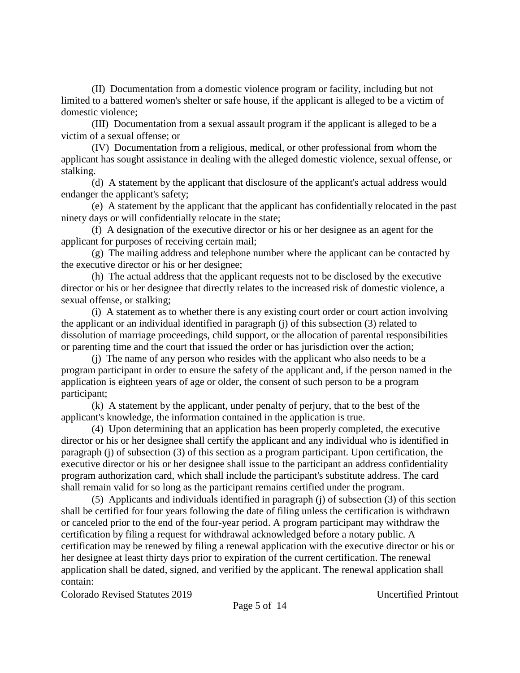(II) Documentation from a domestic violence program or facility, including but not limited to a battered women's shelter or safe house, if the applicant is alleged to be a victim of domestic violence;

(III) Documentation from a sexual assault program if the applicant is alleged to be a victim of a sexual offense; or

(IV) Documentation from a religious, medical, or other professional from whom the applicant has sought assistance in dealing with the alleged domestic violence, sexual offense, or stalking.

(d) A statement by the applicant that disclosure of the applicant's actual address would endanger the applicant's safety;

(e) A statement by the applicant that the applicant has confidentially relocated in the past ninety days or will confidentially relocate in the state;

(f) A designation of the executive director or his or her designee as an agent for the applicant for purposes of receiving certain mail;

(g) The mailing address and telephone number where the applicant can be contacted by the executive director or his or her designee;

(h) The actual address that the applicant requests not to be disclosed by the executive director or his or her designee that directly relates to the increased risk of domestic violence, a sexual offense, or stalking;

(i) A statement as to whether there is any existing court order or court action involving the applicant or an individual identified in paragraph (j) of this subsection (3) related to dissolution of marriage proceedings, child support, or the allocation of parental responsibilities or parenting time and the court that issued the order or has jurisdiction over the action;

(j) The name of any person who resides with the applicant who also needs to be a program participant in order to ensure the safety of the applicant and, if the person named in the application is eighteen years of age or older, the consent of such person to be a program participant;

(k) A statement by the applicant, under penalty of perjury, that to the best of the applicant's knowledge, the information contained in the application is true.

(4) Upon determining that an application has been properly completed, the executive director or his or her designee shall certify the applicant and any individual who is identified in paragraph (j) of subsection (3) of this section as a program participant. Upon certification, the executive director or his or her designee shall issue to the participant an address confidentiality program authorization card, which shall include the participant's substitute address. The card shall remain valid for so long as the participant remains certified under the program.

(5) Applicants and individuals identified in paragraph (j) of subsection (3) of this section shall be certified for four years following the date of filing unless the certification is withdrawn or canceled prior to the end of the four-year period. A program participant may withdraw the certification by filing a request for withdrawal acknowledged before a notary public. A certification may be renewed by filing a renewal application with the executive director or his or her designee at least thirty days prior to expiration of the current certification. The renewal application shall be dated, signed, and verified by the applicant. The renewal application shall contain: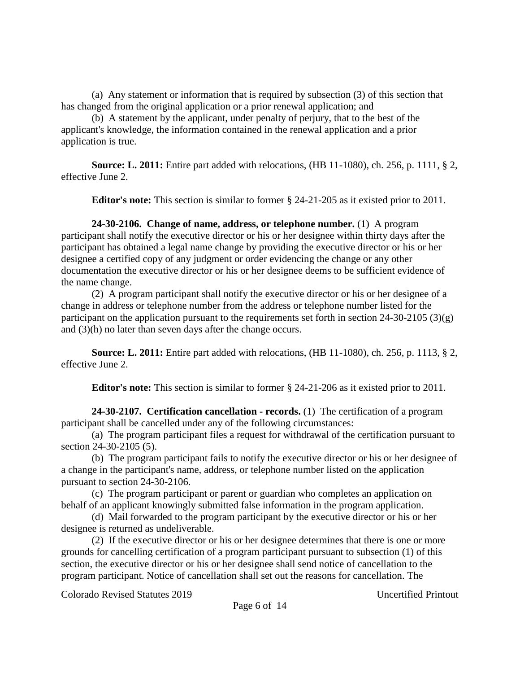(a) Any statement or information that is required by subsection (3) of this section that has changed from the original application or a prior renewal application; and

(b) A statement by the applicant, under penalty of perjury, that to the best of the applicant's knowledge, the information contained in the renewal application and a prior application is true.

**Source: L. 2011:** Entire part added with relocations, (HB 11-1080), ch. 256, p. 1111, § 2, effective June 2.

**Editor's note:** This section is similar to former § 24-21-205 as it existed prior to 2011.

**24-30-2106. Change of name, address, or telephone number.** (1) A program participant shall notify the executive director or his or her designee within thirty days after the participant has obtained a legal name change by providing the executive director or his or her designee a certified copy of any judgment or order evidencing the change or any other documentation the executive director or his or her designee deems to be sufficient evidence of the name change.

(2) A program participant shall notify the executive director or his or her designee of a change in address or telephone number from the address or telephone number listed for the participant on the application pursuant to the requirements set forth in section 24-30-2105 (3)(g) and (3)(h) no later than seven days after the change occurs.

**Source: L. 2011:** Entire part added with relocations, (HB 11-1080), ch. 256, p. 1113, § 2, effective June 2.

**Editor's note:** This section is similar to former § 24-21-206 as it existed prior to 2011.

**24-30-2107. Certification cancellation - records.** (1) The certification of a program participant shall be cancelled under any of the following circumstances:

(a) The program participant files a request for withdrawal of the certification pursuant to section 24-30-2105 (5).

(b) The program participant fails to notify the executive director or his or her designee of a change in the participant's name, address, or telephone number listed on the application pursuant to section 24-30-2106.

(c) The program participant or parent or guardian who completes an application on behalf of an applicant knowingly submitted false information in the program application.

(d) Mail forwarded to the program participant by the executive director or his or her designee is returned as undeliverable.

(2) If the executive director or his or her designee determines that there is one or more grounds for cancelling certification of a program participant pursuant to subsection (1) of this section, the executive director or his or her designee shall send notice of cancellation to the program participant. Notice of cancellation shall set out the reasons for cancellation. The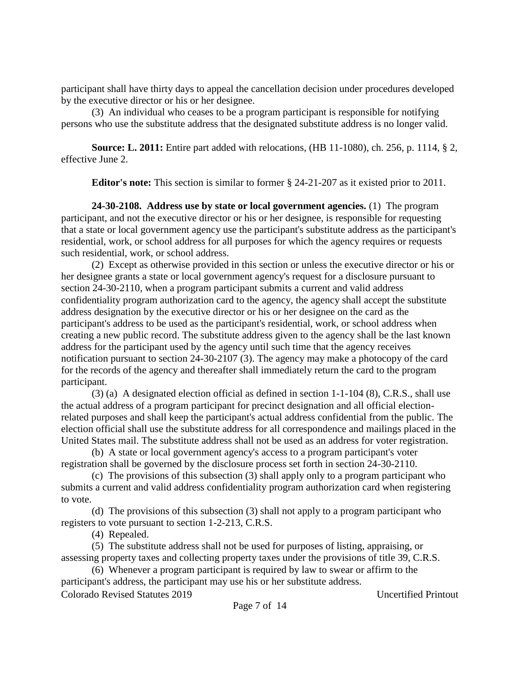participant shall have thirty days to appeal the cancellation decision under procedures developed by the executive director or his or her designee.

(3) An individual who ceases to be a program participant is responsible for notifying persons who use the substitute address that the designated substitute address is no longer valid.

**Source: L. 2011:** Entire part added with relocations, (HB 11-1080), ch. 256, p. 1114, § 2, effective June 2.

**Editor's note:** This section is similar to former § 24-21-207 as it existed prior to 2011.

**24-30-2108. Address use by state or local government agencies.** (1) The program participant, and not the executive director or his or her designee, is responsible for requesting that a state or local government agency use the participant's substitute address as the participant's residential, work, or school address for all purposes for which the agency requires or requests such residential, work, or school address.

(2) Except as otherwise provided in this section or unless the executive director or his or her designee grants a state or local government agency's request for a disclosure pursuant to section 24-30-2110, when a program participant submits a current and valid address confidentiality program authorization card to the agency, the agency shall accept the substitute address designation by the executive director or his or her designee on the card as the participant's address to be used as the participant's residential, work, or school address when creating a new public record. The substitute address given to the agency shall be the last known address for the participant used by the agency until such time that the agency receives notification pursuant to section 24-30-2107 (3). The agency may make a photocopy of the card for the records of the agency and thereafter shall immediately return the card to the program participant.

(3) (a) A designated election official as defined in section 1-1-104 (8), C.R.S., shall use the actual address of a program participant for precinct designation and all official electionrelated purposes and shall keep the participant's actual address confidential from the public. The election official shall use the substitute address for all correspondence and mailings placed in the United States mail. The substitute address shall not be used as an address for voter registration.

(b) A state or local government agency's access to a program participant's voter registration shall be governed by the disclosure process set forth in section 24-30-2110.

(c) The provisions of this subsection (3) shall apply only to a program participant who submits a current and valid address confidentiality program authorization card when registering to vote.

(d) The provisions of this subsection (3) shall not apply to a program participant who registers to vote pursuant to section 1-2-213, C.R.S.

(4) Repealed.

(5) The substitute address shall not be used for purposes of listing, appraising, or assessing property taxes and collecting property taxes under the provisions of title 39, C.R.S.

(6) Whenever a program participant is required by law to swear or affirm to the participant's address, the participant may use his or her substitute address.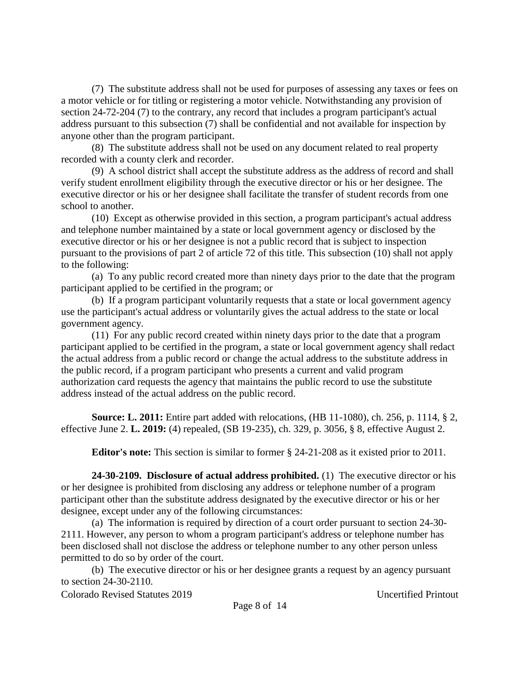(7) The substitute address shall not be used for purposes of assessing any taxes or fees on a motor vehicle or for titling or registering a motor vehicle. Notwithstanding any provision of section 24-72-204 (7) to the contrary, any record that includes a program participant's actual address pursuant to this subsection (7) shall be confidential and not available for inspection by anyone other than the program participant.

(8) The substitute address shall not be used on any document related to real property recorded with a county clerk and recorder.

(9) A school district shall accept the substitute address as the address of record and shall verify student enrollment eligibility through the executive director or his or her designee. The executive director or his or her designee shall facilitate the transfer of student records from one school to another.

(10) Except as otherwise provided in this section, a program participant's actual address and telephone number maintained by a state or local government agency or disclosed by the executive director or his or her designee is not a public record that is subject to inspection pursuant to the provisions of part 2 of article 72 of this title. This subsection (10) shall not apply to the following:

(a) To any public record created more than ninety days prior to the date that the program participant applied to be certified in the program; or

(b) If a program participant voluntarily requests that a state or local government agency use the participant's actual address or voluntarily gives the actual address to the state or local government agency.

(11) For any public record created within ninety days prior to the date that a program participant applied to be certified in the program, a state or local government agency shall redact the actual address from a public record or change the actual address to the substitute address in the public record, if a program participant who presents a current and valid program authorization card requests the agency that maintains the public record to use the substitute address instead of the actual address on the public record.

**Source: L. 2011:** Entire part added with relocations, (HB 11-1080), ch. 256, p. 1114, § 2, effective June 2. **L. 2019:** (4) repealed, (SB 19-235), ch. 329, p. 3056, § 8, effective August 2.

**Editor's note:** This section is similar to former § 24-21-208 as it existed prior to 2011.

**24-30-2109. Disclosure of actual address prohibited.** (1) The executive director or his or her designee is prohibited from disclosing any address or telephone number of a program participant other than the substitute address designated by the executive director or his or her designee, except under any of the following circumstances:

(a) The information is required by direction of a court order pursuant to section 24-30- 2111. However, any person to whom a program participant's address or telephone number has been disclosed shall not disclose the address or telephone number to any other person unless permitted to do so by order of the court.

(b) The executive director or his or her designee grants a request by an agency pursuant to section 24-30-2110.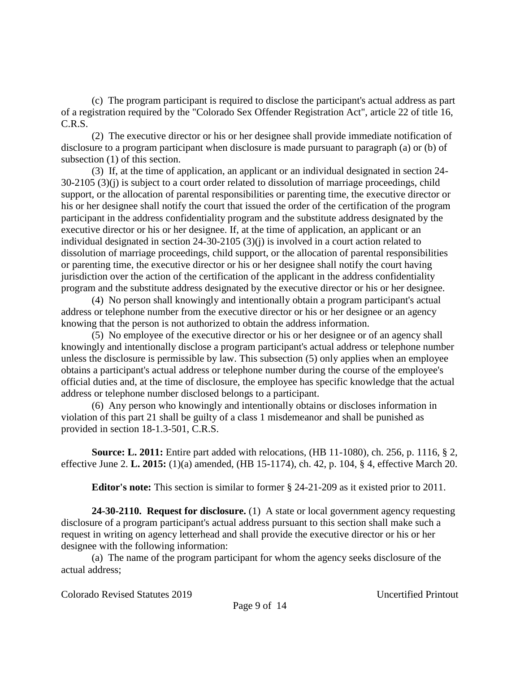(c) The program participant is required to disclose the participant's actual address as part of a registration required by the "Colorado Sex Offender Registration Act", article 22 of title 16, C.R.S.

(2) The executive director or his or her designee shall provide immediate notification of disclosure to a program participant when disclosure is made pursuant to paragraph (a) or (b) of subsection (1) of this section.

(3) If, at the time of application, an applicant or an individual designated in section 24- 30-2105 (3)(j) is subject to a court order related to dissolution of marriage proceedings, child support, or the allocation of parental responsibilities or parenting time, the executive director or his or her designee shall notify the court that issued the order of the certification of the program participant in the address confidentiality program and the substitute address designated by the executive director or his or her designee. If, at the time of application, an applicant or an individual designated in section 24-30-2105 (3)(j) is involved in a court action related to dissolution of marriage proceedings, child support, or the allocation of parental responsibilities or parenting time, the executive director or his or her designee shall notify the court having jurisdiction over the action of the certification of the applicant in the address confidentiality program and the substitute address designated by the executive director or his or her designee.

(4) No person shall knowingly and intentionally obtain a program participant's actual address or telephone number from the executive director or his or her designee or an agency knowing that the person is not authorized to obtain the address information.

(5) No employee of the executive director or his or her designee or of an agency shall knowingly and intentionally disclose a program participant's actual address or telephone number unless the disclosure is permissible by law. This subsection (5) only applies when an employee obtains a participant's actual address or telephone number during the course of the employee's official duties and, at the time of disclosure, the employee has specific knowledge that the actual address or telephone number disclosed belongs to a participant.

(6) Any person who knowingly and intentionally obtains or discloses information in violation of this part 21 shall be guilty of a class 1 misdemeanor and shall be punished as provided in section 18-1.3-501, C.R.S.

**Source: L. 2011:** Entire part added with relocations, (HB 11-1080), ch. 256, p. 1116, § 2, effective June 2. **L. 2015:** (1)(a) amended, (HB 15-1174), ch. 42, p. 104, § 4, effective March 20.

**Editor's note:** This section is similar to former § 24-21-209 as it existed prior to 2011.

**24-30-2110. Request for disclosure.** (1) A state or local government agency requesting disclosure of a program participant's actual address pursuant to this section shall make such a request in writing on agency letterhead and shall provide the executive director or his or her designee with the following information:

(a) The name of the program participant for whom the agency seeks disclosure of the actual address;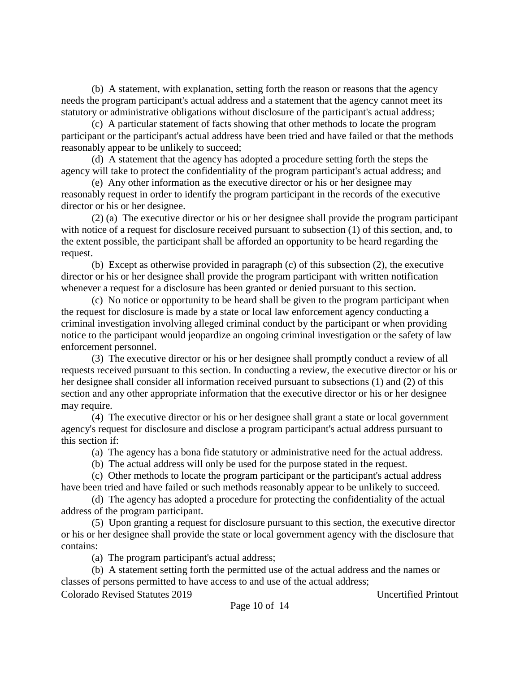(b) A statement, with explanation, setting forth the reason or reasons that the agency needs the program participant's actual address and a statement that the agency cannot meet its statutory or administrative obligations without disclosure of the participant's actual address;

(c) A particular statement of facts showing that other methods to locate the program participant or the participant's actual address have been tried and have failed or that the methods reasonably appear to be unlikely to succeed;

(d) A statement that the agency has adopted a procedure setting forth the steps the agency will take to protect the confidentiality of the program participant's actual address; and

(e) Any other information as the executive director or his or her designee may reasonably request in order to identify the program participant in the records of the executive director or his or her designee.

(2) (a) The executive director or his or her designee shall provide the program participant with notice of a request for disclosure received pursuant to subsection (1) of this section, and, to the extent possible, the participant shall be afforded an opportunity to be heard regarding the request.

(b) Except as otherwise provided in paragraph (c) of this subsection (2), the executive director or his or her designee shall provide the program participant with written notification whenever a request for a disclosure has been granted or denied pursuant to this section.

(c) No notice or opportunity to be heard shall be given to the program participant when the request for disclosure is made by a state or local law enforcement agency conducting a criminal investigation involving alleged criminal conduct by the participant or when providing notice to the participant would jeopardize an ongoing criminal investigation or the safety of law enforcement personnel.

(3) The executive director or his or her designee shall promptly conduct a review of all requests received pursuant to this section. In conducting a review, the executive director or his or her designee shall consider all information received pursuant to subsections (1) and (2) of this section and any other appropriate information that the executive director or his or her designee may require.

(4) The executive director or his or her designee shall grant a state or local government agency's request for disclosure and disclose a program participant's actual address pursuant to this section if:

(a) The agency has a bona fide statutory or administrative need for the actual address.

(b) The actual address will only be used for the purpose stated in the request.

(c) Other methods to locate the program participant or the participant's actual address have been tried and have failed or such methods reasonably appear to be unlikely to succeed.

(d) The agency has adopted a procedure for protecting the confidentiality of the actual address of the program participant.

(5) Upon granting a request for disclosure pursuant to this section, the executive director or his or her designee shall provide the state or local government agency with the disclosure that contains:

(a) The program participant's actual address;

(b) A statement setting forth the permitted use of the actual address and the names or classes of persons permitted to have access to and use of the actual address;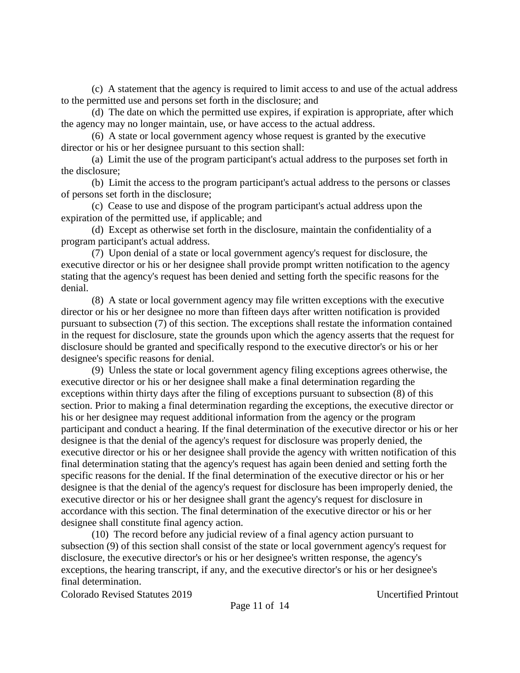(c) A statement that the agency is required to limit access to and use of the actual address to the permitted use and persons set forth in the disclosure; and

(d) The date on which the permitted use expires, if expiration is appropriate, after which the agency may no longer maintain, use, or have access to the actual address.

(6) A state or local government agency whose request is granted by the executive director or his or her designee pursuant to this section shall:

(a) Limit the use of the program participant's actual address to the purposes set forth in the disclosure;

(b) Limit the access to the program participant's actual address to the persons or classes of persons set forth in the disclosure;

(c) Cease to use and dispose of the program participant's actual address upon the expiration of the permitted use, if applicable; and

(d) Except as otherwise set forth in the disclosure, maintain the confidentiality of a program participant's actual address.

(7) Upon denial of a state or local government agency's request for disclosure, the executive director or his or her designee shall provide prompt written notification to the agency stating that the agency's request has been denied and setting forth the specific reasons for the denial.

(8) A state or local government agency may file written exceptions with the executive director or his or her designee no more than fifteen days after written notification is provided pursuant to subsection (7) of this section. The exceptions shall restate the information contained in the request for disclosure, state the grounds upon which the agency asserts that the request for disclosure should be granted and specifically respond to the executive director's or his or her designee's specific reasons for denial.

(9) Unless the state or local government agency filing exceptions agrees otherwise, the executive director or his or her designee shall make a final determination regarding the exceptions within thirty days after the filing of exceptions pursuant to subsection (8) of this section. Prior to making a final determination regarding the exceptions, the executive director or his or her designee may request additional information from the agency or the program participant and conduct a hearing. If the final determination of the executive director or his or her designee is that the denial of the agency's request for disclosure was properly denied, the executive director or his or her designee shall provide the agency with written notification of this final determination stating that the agency's request has again been denied and setting forth the specific reasons for the denial. If the final determination of the executive director or his or her designee is that the denial of the agency's request for disclosure has been improperly denied, the executive director or his or her designee shall grant the agency's request for disclosure in accordance with this section. The final determination of the executive director or his or her designee shall constitute final agency action.

(10) The record before any judicial review of a final agency action pursuant to subsection (9) of this section shall consist of the state or local government agency's request for disclosure, the executive director's or his or her designee's written response, the agency's exceptions, the hearing transcript, if any, and the executive director's or his or her designee's final determination.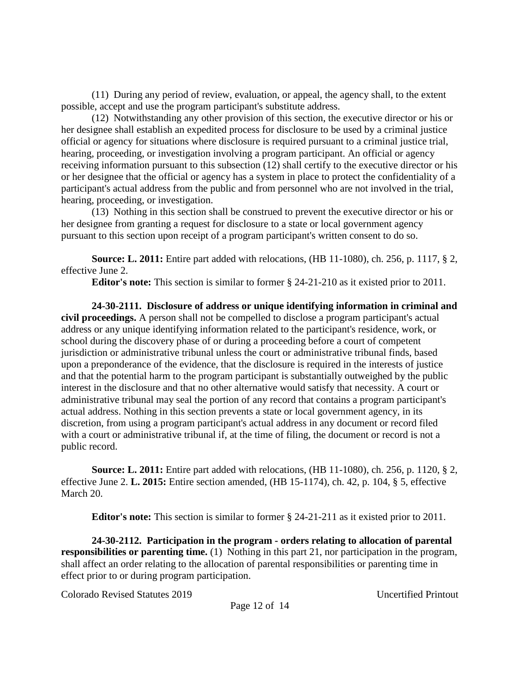(11) During any period of review, evaluation, or appeal, the agency shall, to the extent possible, accept and use the program participant's substitute address.

(12) Notwithstanding any other provision of this section, the executive director or his or her designee shall establish an expedited process for disclosure to be used by a criminal justice official or agency for situations where disclosure is required pursuant to a criminal justice trial, hearing, proceeding, or investigation involving a program participant. An official or agency receiving information pursuant to this subsection (12) shall certify to the executive director or his or her designee that the official or agency has a system in place to protect the confidentiality of a participant's actual address from the public and from personnel who are not involved in the trial, hearing, proceeding, or investigation.

(13) Nothing in this section shall be construed to prevent the executive director or his or her designee from granting a request for disclosure to a state or local government agency pursuant to this section upon receipt of a program participant's written consent to do so.

**Source: L. 2011:** Entire part added with relocations, (HB 11-1080), ch. 256, p. 1117, § 2, effective June 2.

**Editor's note:** This section is similar to former § 24-21-210 as it existed prior to 2011.

**24-30-2111. Disclosure of address or unique identifying information in criminal and civil proceedings.** A person shall not be compelled to disclose a program participant's actual address or any unique identifying information related to the participant's residence, work, or school during the discovery phase of or during a proceeding before a court of competent jurisdiction or administrative tribunal unless the court or administrative tribunal finds, based upon a preponderance of the evidence, that the disclosure is required in the interests of justice and that the potential harm to the program participant is substantially outweighed by the public interest in the disclosure and that no other alternative would satisfy that necessity. A court or administrative tribunal may seal the portion of any record that contains a program participant's actual address. Nothing in this section prevents a state or local government agency, in its discretion, from using a program participant's actual address in any document or record filed with a court or administrative tribunal if, at the time of filing, the document or record is not a public record.

**Source: L. 2011:** Entire part added with relocations, (HB 11-1080), ch. 256, p. 1120, § 2, effective June 2. **L. 2015:** Entire section amended, (HB 15-1174), ch. 42, p. 104, § 5, effective March 20.

**Editor's note:** This section is similar to former § 24-21-211 as it existed prior to 2011.

**24-30-2112. Participation in the program - orders relating to allocation of parental responsibilities or parenting time.** (1) Nothing in this part 21, nor participation in the program, shall affect an order relating to the allocation of parental responsibilities or parenting time in effect prior to or during program participation.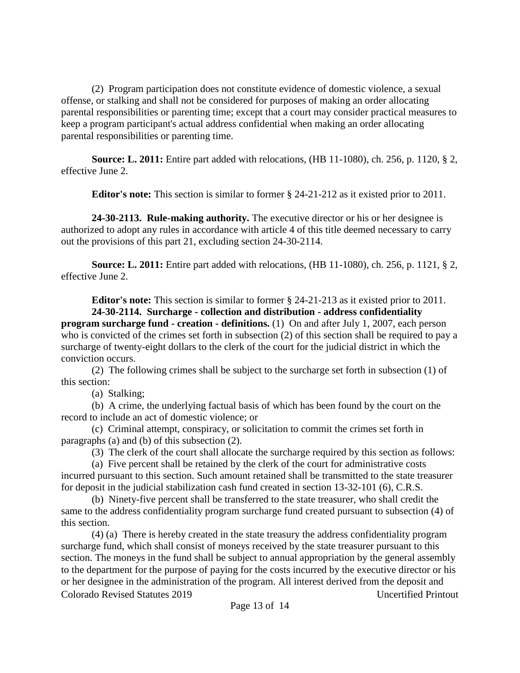(2) Program participation does not constitute evidence of domestic violence, a sexual offense, or stalking and shall not be considered for purposes of making an order allocating parental responsibilities or parenting time; except that a court may consider practical measures to keep a program participant's actual address confidential when making an order allocating parental responsibilities or parenting time.

**Source: L. 2011:** Entire part added with relocations, (HB 11-1080), ch. 256, p. 1120, § 2, effective June 2.

**Editor's note:** This section is similar to former § 24-21-212 as it existed prior to 2011.

**24-30-2113. Rule-making authority.** The executive director or his or her designee is authorized to adopt any rules in accordance with article 4 of this title deemed necessary to carry out the provisions of this part 21, excluding section 24-30-2114.

**Source: L. 2011:** Entire part added with relocations, (HB 11-1080), ch. 256, p. 1121, § 2, effective June 2.

**Editor's note:** This section is similar to former § 24-21-213 as it existed prior to 2011.

**24-30-2114. Surcharge - collection and distribution - address confidentiality program surcharge fund - creation - definitions.** (1) On and after July 1, 2007, each person who is convicted of the crimes set forth in subsection (2) of this section shall be required to pay a surcharge of twenty-eight dollars to the clerk of the court for the judicial district in which the conviction occurs.

(2) The following crimes shall be subject to the surcharge set forth in subsection (1) of this section:

(a) Stalking;

(b) A crime, the underlying factual basis of which has been found by the court on the record to include an act of domestic violence; or

(c) Criminal attempt, conspiracy, or solicitation to commit the crimes set forth in paragraphs (a) and (b) of this subsection (2).

(3) The clerk of the court shall allocate the surcharge required by this section as follows:

(a) Five percent shall be retained by the clerk of the court for administrative costs incurred pursuant to this section. Such amount retained shall be transmitted to the state treasurer for deposit in the judicial stabilization cash fund created in section 13-32-101 (6), C.R.S.

(b) Ninety-five percent shall be transferred to the state treasurer, who shall credit the same to the address confidentiality program surcharge fund created pursuant to subsection (4) of this section.

Colorado Revised Statutes 2019 Uncertified Printout (4) (a) There is hereby created in the state treasury the address confidentiality program surcharge fund, which shall consist of moneys received by the state treasurer pursuant to this section. The moneys in the fund shall be subject to annual appropriation by the general assembly to the department for the purpose of paying for the costs incurred by the executive director or his or her designee in the administration of the program. All interest derived from the deposit and